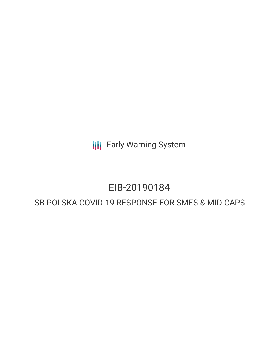**III** Early Warning System

## EIB-20190184

### SB POLSKA COVID-19 RESPONSE FOR SMES & MID-CAPS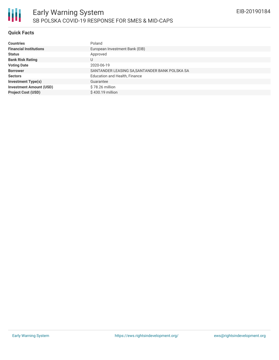#### **Quick Facts**

| <b>Countries</b>               | Poland                                         |
|--------------------------------|------------------------------------------------|
| <b>Financial Institutions</b>  | European Investment Bank (EIB)                 |
| <b>Status</b>                  | Approved                                       |
| <b>Bank Risk Rating</b>        | U                                              |
| <b>Voting Date</b>             | 2020-06-19                                     |
| <b>Borrower</b>                | SANTANDER LEASING SA, SANTANDER BANK POLSKA SA |
| <b>Sectors</b>                 | Education and Health, Finance                  |
| <b>Investment Type(s)</b>      | Guarantee                                      |
| <b>Investment Amount (USD)</b> | \$78.26 million                                |
| <b>Project Cost (USD)</b>      | $$430.19$ million                              |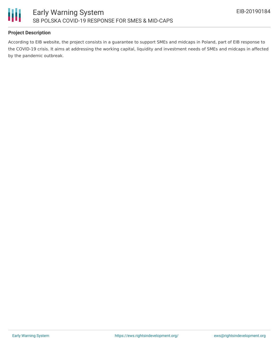

#### **Project Description**

According to EIB website, the project consists in a guarantee to support SMEs and midcaps in Poland, part of EIB response to the COVID-19 crisis. It aims at addressing the working capital, liquidity and investment needs of SMEs and midcaps in affected by the pandemic outbreak.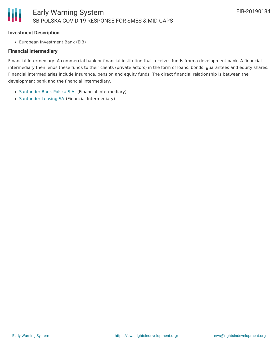#### **Investment Description**

Ш

European Investment Bank (EIB)

#### **Financial Intermediary**

Financial Intermediary: A commercial bank or financial institution that receives funds from a development bank. A financial intermediary then lends these funds to their clients (private actors) in the form of loans, bonds, guarantees and equity shares. Financial intermediaries include insurance, pension and equity funds. The direct financial relationship is between the development bank and the financial intermediary.

- [Santander](file:///actor/1798/) Bank Polska S.A. (Financial Intermediary)
- [Santander](file:///actor/2813/) Leasing SA (Financial Intermediary)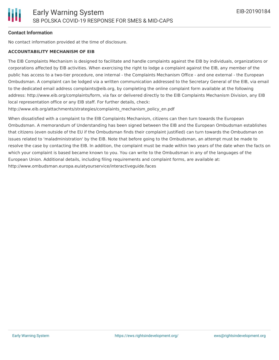#### **Contact Information**

No contact information provided at the time of disclosure.

#### **ACCOUNTABILITY MECHANISM OF EIB**

The EIB Complaints Mechanism is designed to facilitate and handle complaints against the EIB by individuals, organizations or corporations affected by EIB activities. When exercising the right to lodge a complaint against the EIB, any member of the public has access to a two-tier procedure, one internal - the Complaints Mechanism Office - and one external - the European Ombudsman. A complaint can be lodged via a written communication addressed to the Secretary General of the EIB, via email to the dedicated email address complaints@eib.org, by completing the online complaint form available at the following address: http://www.eib.org/complaints/form, via fax or delivered directly to the EIB Complaints Mechanism Division, any EIB local representation office or any EIB staff. For further details, check:

http://www.eib.org/attachments/strategies/complaints\_mechanism\_policy\_en.pdf

When dissatisfied with a complaint to the EIB Complaints Mechanism, citizens can then turn towards the European Ombudsman. A memorandum of Understanding has been signed between the EIB and the European Ombudsman establishes that citizens (even outside of the EU if the Ombudsman finds their complaint justified) can turn towards the Ombudsman on issues related to 'maladministration' by the EIB. Note that before going to the Ombudsman, an attempt must be made to resolve the case by contacting the EIB. In addition, the complaint must be made within two years of the date when the facts on which your complaint is based became known to you. You can write to the Ombudsman in any of the languages of the European Union. Additional details, including filing requirements and complaint forms, are available at: http://www.ombudsman.europa.eu/atyourservice/interactiveguide.faces